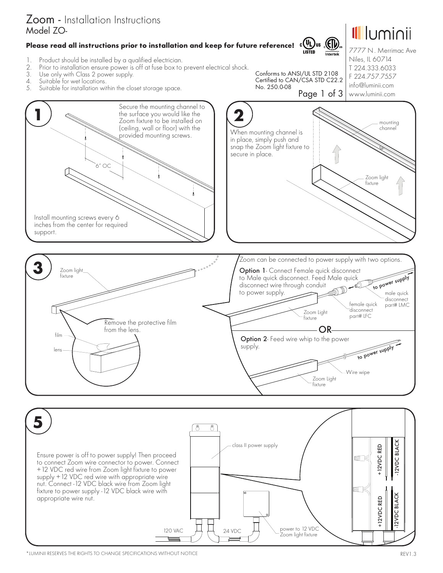

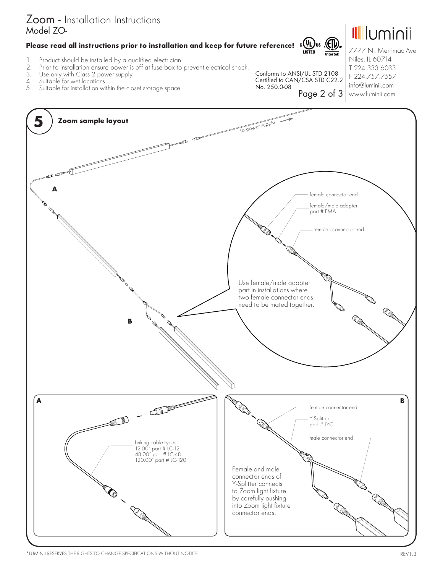